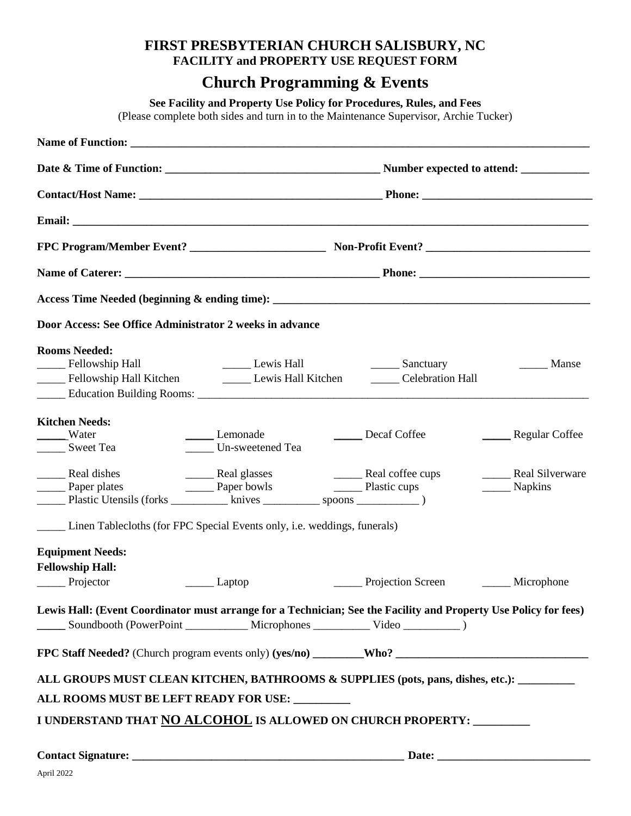## **FIRST PRESBYTERIAN CHURCH SALISBURY, NC FACILITY and PROPERTY USE REQUEST FORM**

## **Church Programming & Events**

**See Facility and Property Use Policy for Procedures, Rules, and Fees**

(Please complete both sides and turn in to the Maintenance Supervisor, Archie Tucker)

| Door Access: See Office Administrator 2 weeks in advance                                                                                                                                                                  |                                                                               |                                       |                                              |  |  |
|---------------------------------------------------------------------------------------------------------------------------------------------------------------------------------------------------------------------------|-------------------------------------------------------------------------------|---------------------------------------|----------------------------------------------|--|--|
| <b>Rooms Needed:</b><br>_____ Fellowship Hall<br>Fellowship Hall Kitchen <b>Communist Lewis Hall Kitchen</b>                                                                                                              | Lewis Hall                                                                    | _______ Sanctuary<br>Celebration Hall | Manse                                        |  |  |
| <b>Kitchen Needs:</b><br>Water<br><b>Sweet Tea</b>                                                                                                                                                                        | Lemonade<br>Un-sweetened Tea                                                  | Decaf Coffee                          | Regular Coffee                               |  |  |
| Real dishes<br>Paper plates<br>Plastic Utensils (forks ______________ knives ____________ spoons ______________                                                                                                           | Real glasses Real coffee cups<br>Paper bowls Real coffee cups<br>Plastic cups |                                       | <b>Real Silverware</b><br>__________ Napkins |  |  |
| Linen Tablecloths (for FPC Special Events only, i.e. weddings, funerals)                                                                                                                                                  |                                                                               |                                       |                                              |  |  |
| <b>Equipment Needs:</b><br><b>Fellowship Hall:</b><br>$\frac{1}{\sqrt{1-\frac{1}{2}}}$ Projector                                                                                                                          | _________ Laptop                                                              | Projection Screen                     | _____ Microphone                             |  |  |
| Lewis Hall: (Event Coordinator must arrange for a Technician; See the Facility and Property Use Policy for fees)<br>_______ Soundbooth (PowerPoint ___________________ Microphones _________________ Video ____________ ) |                                                                               |                                       |                                              |  |  |
|                                                                                                                                                                                                                           |                                                                               |                                       |                                              |  |  |
| ALL GROUPS MUST CLEAN KITCHEN, BATHROOMS & SUPPLIES (pots, pans, dishes, etc.):<br>ALL ROOMS MUST BE LEFT READY FOR USE: ________<br>I UNDERSTAND THAT NO ALCOHOL IS ALLOWED ON CHURCH PROPERTY: ________                 |                                                                               |                                       |                                              |  |  |
|                                                                                                                                                                                                                           |                                                                               |                                       |                                              |  |  |